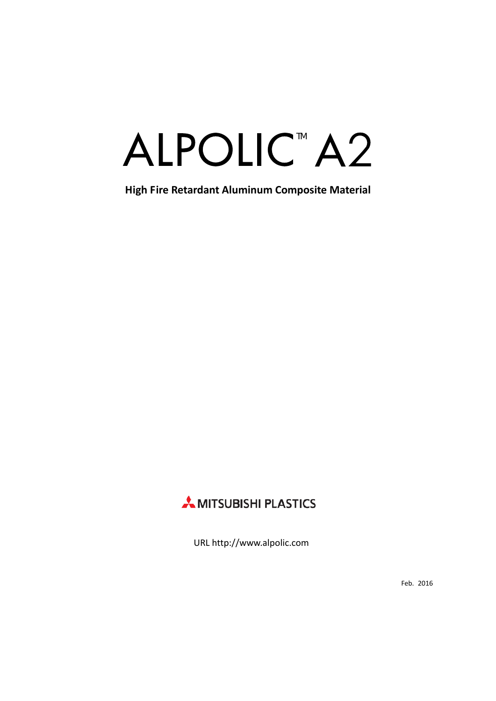# ALPOLIC<sup>™</sup>A2

**High Fire Retardant Aluminum Composite Material**



URL http://www.alpolic.com

Feb. 2016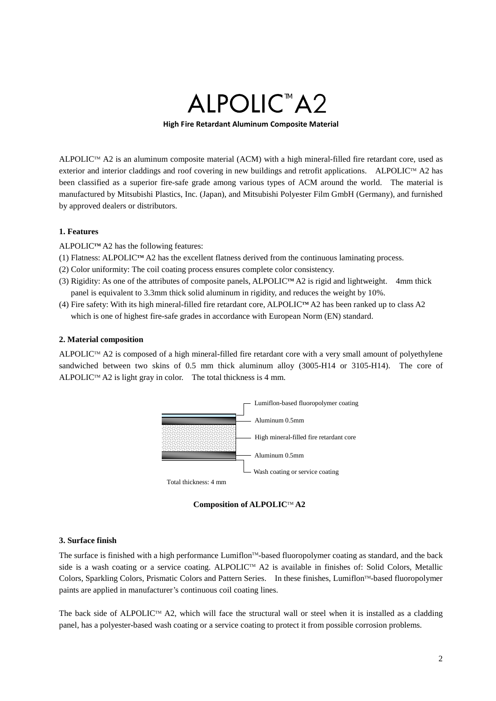# ALPOLIC<sup>™</sup>A2

**High Fire Retardant Aluminum Composite Material**

ALPOLIC<sup>™</sup> A2 is an aluminum composite material (ACM) with a high mineral-filled fire retardant core, used as exterior and interior claddings and roof covering in new buildings and retrofit applications. ALPOLIC™ A2 has been classified as a superior fire-safe grade among various types of ACM around the world. The material is manufactured by Mitsubishi Plastics, Inc. (Japan), and Mitsubishi Polyester Film GmbH (Germany), and furnished by approved dealers or distributors.

### **1. Features**

 $ALPOLIC<sup>TM</sup> A2$  has the following features:

- (1) Flatness: ALPOLIC**TM** A2 has the excellent flatness derived from the continuous laminating process.
- (2) Color uniformity: The coil coating process ensures complete color consistency.
- (3) Rigidity: As one of the attributes of composite panels, ALPOLIC**TM** A2 is rigid and lightweight. 4mm thick panel is equivalent to 3.3mm thick solid aluminum in rigidity, and reduces the weight by 10%.
- (4) Fire safety: With its high mineral-filled fire retardant core, ALPOLIC**TM** A2 has been ranked up to class A2 which is one of highest fire-safe grades in accordance with European Norm (EN) standard.

#### **2. Material composition**

ALPOLIC<sup>TM</sup> A2 is composed of a high mineral-filled fire retardant core with a very small amount of polyethylene sandwiched between two skins of 0.5 mm thick aluminum alloy (3005-H14 or 3105-H14). The core of ALPOLIC<sup>TM</sup> A2 is light gray in color. The total thickness is 4 mm.



**Composition of ALPOLIC**TM **A2**

#### **3. Surface finish**

The surface is finished with a high performance Lumiflon<sup>TM</sup>-based fluoropolymer coating as standard, and the back side is a wash coating or a service coating. ALPOLIC<sup>TM</sup> A2 is available in finishes of: Solid Colors, Metallic Colors, Sparkling Colors, Prismatic Colors and Pattern Series. In these finishes, Lumiflon™-based fluoropolymer paints are applied in manufacturer's continuous coil coating lines.

The back side of ALPOLIC<sup>TM</sup> A2, which will face the structural wall or steel when it is installed as a cladding panel, has a polyester-based wash coating or a service coating to protect it from possible corrosion problems.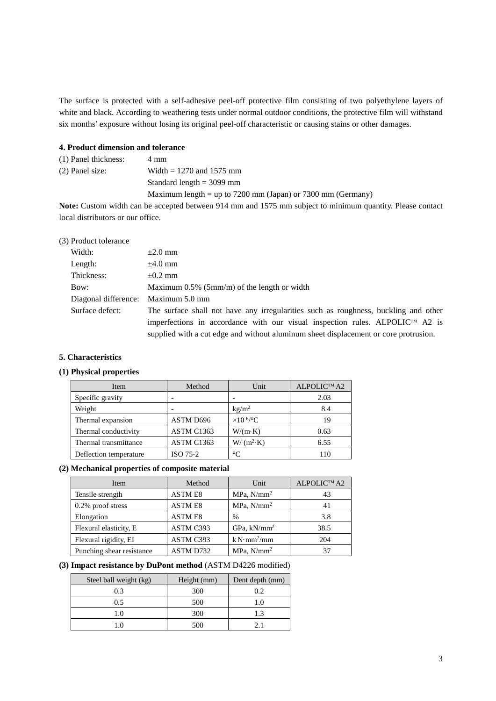The surface is protected with a self-adhesive peel-off protective film consisting of two polyethylene layers of white and black. According to weathering tests under normal outdoor conditions, the protective film will withstand six months' exposure without losing its original peel-off characteristic or causing stains or other damages.

#### **4. Product dimension and tolerance**

| $(1)$ Panel thickness: | 4 mm                                                        |
|------------------------|-------------------------------------------------------------|
| $(2)$ Panel size:      | Width = $1270$ and $1575$ mm                                |
|                        | Standard length $=$ 3099 mm                                 |
|                        | Maximum length = up to 7200 mm (Japan) or 7300 mm (Germany) |

**Note:** Custom width can be accepted between 914 mm and 1575 mm subject to minimum quantity. Please contact local distributors or our office.

| (3) Product tolerance |                                                                                           |
|-----------------------|-------------------------------------------------------------------------------------------|
| Width:                | $\pm 2.0$ mm                                                                              |
| Length:               | $\pm 4.0$ mm                                                                              |
| Thickness:            | $\pm 0.2$ mm                                                                              |
| Bow:                  | Maximum $0.5\%$ (5mm/m) of the length or width                                            |
| Diagonal difference:  | Maximum 5.0 mm                                                                            |
| Surface defect:       | The surface shall not have any irregularities such as roughness, buckling and other       |
|                       | imperfections in accordance with our visual inspection rules. ALPOLIC <sup>TM</sup> A2 is |
|                       | supplied with a cut edge and without aluminum sheet displacement or core protrusion.      |

#### **5. Characteristics**

# **(1) Physical properties**

| Item                   | Method     | Unit                | ALPOLIC™ A2 |
|------------------------|------------|---------------------|-------------|
| Specific gravity       |            |                     | 2.03        |
| Weight                 |            | kg/m <sup>2</sup>   | 8.4         |
| Thermal expansion      | ASTM D696  | $\times 10^{-6/°}C$ | 19          |
| Thermal conductivity   | ASTM C1363 | $W/(m \cdot K)$     | 0.63        |
| Thermal transmittance  | ASTM C1363 | $W/(m^2 \cdot K)$   | 6.55        |
| Deflection temperature | ISO 75-2   | $^{\circ}C$         | 110         |

### **(2) Mechanical properties of composite material**

| Item                      | Method         | Unit                    | ALPOLIC™ A2 |
|---------------------------|----------------|-------------------------|-------------|
| Tensile strength          | <b>ASTME8</b>  | $MPa$ , $N/mm^2$        | 43          |
| $0.2\%$ proof stress      | <b>ASTM E8</b> | $MPa$ , $N/mm^2$        | 41          |
| Elongation                | <b>ASTME8</b>  | %                       | 3.8         |
| Flexural elasticity, E    | ASTM C393      | GPa, $kN/mm^2$          | 38.5        |
| Flexural rigidity, EI     | ASTM C393      | k N·mm <sup>2</sup> /mm | 204         |
| Punching shear resistance | ASTM D732      | $MPa$ , $N/mm^2$        | 37          |

#### **(3) Impact resistance by DuPont method** (ASTM D4226 modified)

| Steel ball weight (kg) | Height (mm) | Dent depth (mm) |
|------------------------|-------------|-----------------|
| 0.3                    | 300         | 0.2             |
| 0.5                    | 500         | 1.0             |
| 1.0                    | 300         | 1.3             |
| 1.0                    | 500         |                 |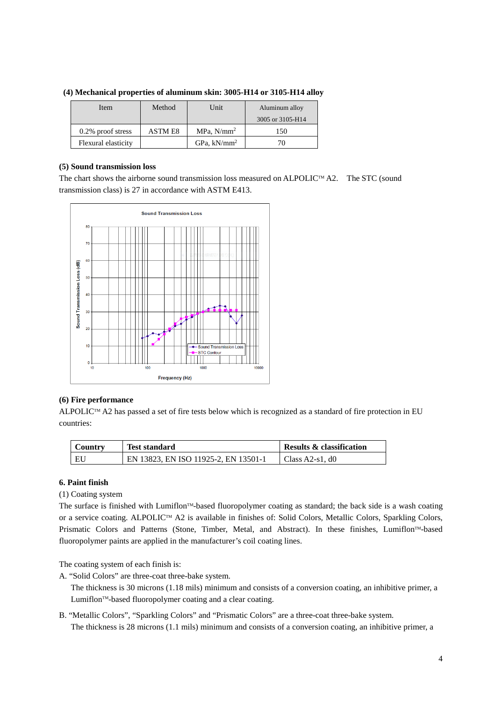| Item                 | Method<br>Unit |                  | Aluminum alloy   |
|----------------------|----------------|------------------|------------------|
|                      |                |                  | 3005 or 3105-H14 |
| $0.2\%$ proof stress | ASTM E8        | $MPa$ , $N/mm^2$ | 150              |
| Flexural elasticity  |                | $GPa, kN/mm^2$   |                  |

**(4) Mechanical properties of aluminum skin: 3005-H14 or 3105-H14 alloy**

#### **(5) Sound transmission loss**

The chart shows the airborne sound transmission loss measured on ALPOLIC<sup>TM</sup> A2. The STC (sound transmission class) is 27 in accordance with ASTM E413.



### **(6) Fire performance**

ALPOLIC™ A2 has passed a set of fire tests below which is recognized as a standard of fire protection in EU countries:

| <b>Country</b> | <b>Test standard</b>                 | <b>Results &amp; classification</b> |
|----------------|--------------------------------------|-------------------------------------|
| EU             | EN 13823, EN ISO 11925-2, EN 13501-1 | Class $A2-s1$ . d0                  |

### **6. Paint finish**

(1) Coating system

The surface is finished with Lumiflon™-based fluoropolymer coating as standard; the back side is a wash coating or a service coating. ALPOLIC™ A2 is available in finishes of: Solid Colors, Metallic Colors, Sparkling Colors, Prismatic Colors and Patterns (Stone, Timber, Metal, and Abstract). In these finishes, Lumiflon™-based fluoropolymer paints are applied in the manufacturer's coil coating lines.

The coating system of each finish is:

A. "Solid Colors" are three-coat three-bake system.

The thickness is 30 microns (1.18 mils) minimum and consists of a conversion coating, an inhibitive primer, a Lumiflon<sup>™</sup>-based fluoropolymer coating and a clear coating.

B. "Metallic Colors", "Sparkling Colors" and "Prismatic Colors" are a three-coat three-bake system. The thickness is 28 microns (1.1 mils) minimum and consists of a conversion coating, an inhibitive primer, a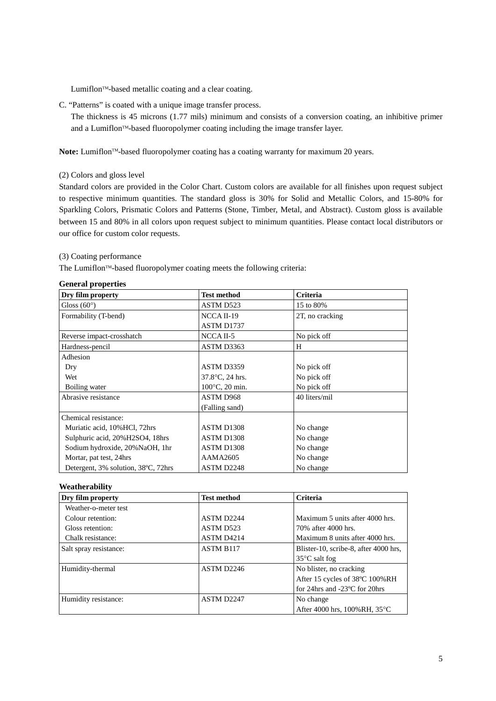Lumiflon<sup>™</sup>-based metallic coating and a clear coating.

C. "Patterns" is coated with a unique image transfer process.

The thickness is 45 microns (1.77 mils) minimum and consists of a conversion coating, an inhibitive primer and a Lumiflon™-based fluoropolymer coating including the image transfer layer.

Note: Lumiflon<sup>TM</sup>-based fluoropolymer coating has a coating warranty for maximum 20 years.

(2) Colors and gloss level

Standard colors are provided in the Color Chart. Custom colors are available for all finishes upon request subject to respective minimum quantities. The standard gloss is 30% for Solid and Metallic Colors, and 15-80% for Sparkling Colors, Prismatic Colors and Patterns (Stone, Timber, Metal, and Abstract). Custom gloss is available between 15 and 80% in all colors upon request subject to minimum quantities. Please contact local distributors or our office for custom color requests.

#### (3) Coating performance

The Lumiflon™-based fluoropolymer coating meets the following criteria:

| General properties<br>Dry film property | <b>Test method</b> | Criteria        |
|-----------------------------------------|--------------------|-----------------|
| Gloss $(60^{\circ})$                    | ASTM D523          | 15 to 80%       |
| Formability (T-bend)                    | NCCA II-19         | 2T, no cracking |
|                                         | ASTM D1737         |                 |
| Reverse impact-crosshatch               | NCCA II-5          | No pick off     |
| Hardness-pencil                         | ASTM D3363         | H               |
| Adhesion                                |                    |                 |
| Dry                                     | ASTM D3359         | No pick off     |
| Wet                                     | 37.8°C, 24 hrs.    | No pick off     |
| Boiling water                           | 100°C, 20 min.     | No pick off     |
| Abrasive resistance                     | ASTM D968          | 40 liters/mil   |
|                                         | (Falling sand)     |                 |
| Chemical resistance:                    |                    |                 |
| Muriatic acid, 10% HCl, 72hrs           | ASTM D1308         | No change       |
| Sulphuric acid, 20%H2SO4, 18hrs         | ASTM D1308         | No change       |
| Sodium hydroxide, 20% NaOH, 1hr         | ASTM D1308         | No change       |
| Mortar, pat test, 24hrs                 | AAMA2605           | No change       |
| Detergent, 3% solution, 38°C, 72hrs     | ASTM D2248         | No change       |

#### **General properties**

#### **Weatherability**

| Dry film property      | <b>Test method</b>     | Criteria                                |
|------------------------|------------------------|-----------------------------------------|
| Weather-o-meter test   |                        |                                         |
| Colour retention:      | ASTM D <sub>2244</sub> | Maximum 5 units after 4000 hrs.         |
| Gloss retention:       | ASTM D523              | 70% after 4000 hrs.                     |
| Chalk resistance:      | ASTM D4214             | Maximum 8 units after 4000 hrs.         |
| Salt spray resistance: | <b>ASTM B117</b>       | Blister-10, scribe-8, after 4000 hrs.   |
|                        |                        | $35^{\circ}$ C salt fog                 |
| Humidity-thermal       | ASTM D <sub>2246</sub> | No blister, no cracking                 |
|                        |                        | After 15 cycles of 38°C 100%RH          |
|                        |                        | for 24hrs and $-23^{\circ}$ C for 20hrs |
| Humidity resistance:   | ASTM D2247             | No change                               |
|                        |                        | After 4000 hrs, 100%RH, 35°C            |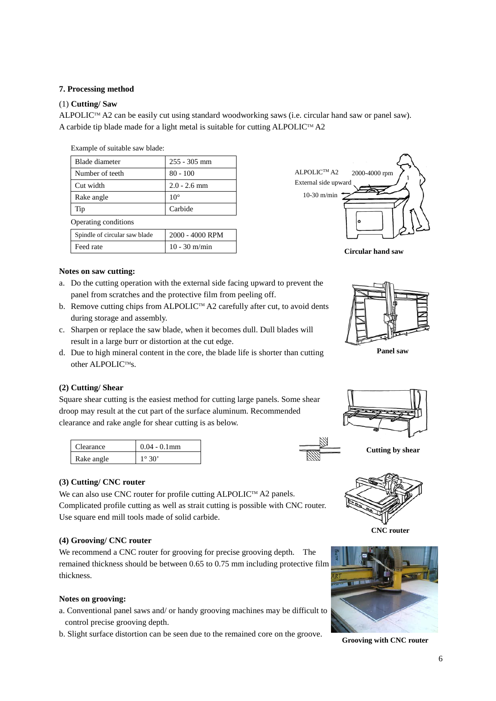### **7. Processing method**

#### (1) **Cutting/ Saw**

ALPOLIC<sup>TM</sup> A2 can be easily cut using standard woodworking saws (i.e. circular hand saw or panel saw). A carbide tip blade made for a light metal is suitable for cutting ALPOLIC<sup>TM</sup> A2

| 255 - 305 mm    |  |
|-----------------|--|
| $80 - 100$      |  |
| $2.0 - 2.6$ mm  |  |
|                 |  |
| Carbide         |  |
|                 |  |
| 2000 - 4000 RPM |  |
| $10 - 30$ m/min |  |
|                 |  |







**Panel saw**

#### **Notes on saw cutting:**

- a. Do the cutting operation with the external side facing upward to prevent the panel from scratches and the protective film from peeling off.
- b. Remove cutting chips from ALPOLIC<sup>TM</sup> A2 carefully after cut, to avoid dents during storage and assembly.
- c. Sharpen or replace the saw blade, when it becomes dull. Dull blades will result in a large burr or distortion at the cut edge.
- d. Due to high mineral content in the core, the blade life is shorter than cutting other ALPOLIC™s.

#### **(2) Cutting/ Shear**

Square shear cutting is the easiest method for cutting large panels. Some shear droop may result at the cut part of the surface aluminum. Recommended clearance and rake angle for shear cutting is as below.

| Clearance  | $0.04 - 0.1$ mm |
|------------|-----------------|
| Rake angle | 1∘ 30'          |



## **(3) Cutting/ CNC router**

We can also use CNC router for profile cutting ALPOLIC™ A2 panels. Complicated profile cutting as well as strait cutting is possible with CNC router. Use square end mill tools made of solid carbide.

#### **(4) Grooving/ CNC router**

We recommend a CNC router for grooving for precise grooving depth. The remained thickness should be between 0.65 to 0.75 mm including protective film thickness.

#### **Notes on grooving:**

- a. Conventional panel saws and/ or handy grooving machines may be difficult to control precise grooving depth.
- b. Slight surface distortion can be seen due to the remained core on the groove.





**Grooving with CNC router**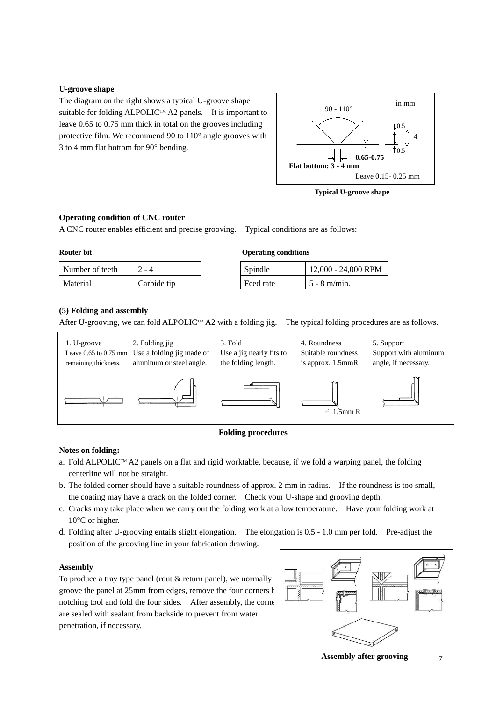#### **U-groove shape**

The diagram on the right shows a typical U-groove shape suitable for folding ALPOLIC™ A2 panels. It is important to leave 0.65 to 0.75 mm thick in total on the grooves including protective film. We recommend 90 to 110° angle grooves with 3 to 4 mm flat bottom for 90° bending.



**Typical U-groove shape**

#### **Operating condition of CNC router**

A CNC router enables efficient and precise grooving. Typical conditions are as follows:

#### **Router bit**

| Number of teeth | ' - 4       | Spindle   | $12,000 - 24.$ |
|-----------------|-------------|-----------|----------------|
| Material        | Carbide tip | Feed rate | 5 - 8 m/min.   |

| Anerating conditions |  |
|----------------------|--|

| Number of teeth |             | Spindle   | 12,000 - 24,000 RPM |
|-----------------|-------------|-----------|---------------------|
|                 |             |           |                     |
| Material        | Carbide tip | Feed rate | $15 - 8$ m/min.     |

### **(5) Folding and assembly**

After U-grooving, we can fold ALPOLIC™ A2 with a folding jig. The typical folding procedures are as follows.



#### **Folding procedures**

### **Notes on folding:**

- a. Fold ALPOLIC<sup>TM</sup> A2 panels on a flat and rigid worktable, because, if we fold a warping panel, the folding centerline will not be straight.
- b. The folded corner should have a suitable roundness of approx. 2 mm in radius. If the roundness is too small, the coating may have a crack on the folded corner. Check your U-shape and grooving depth.
- c. Cracks may take place when we carry out the folding work at a low temperature. Have your folding work at 10°C or higher.
- d. Folding after U-grooving entails slight elongation. The elongation is 0.5 1.0 mm per fold. Pre-adjust the position of the grooving line in your fabrication drawing.

#### **Assembly**

To produce a tray type panel (rout & return panel), we normally groove the panel at 25mm from edges, remove the four corners by notching tool and fold the four sides. After assembly, the corners are sealed with sealant from backside to prevent from water penetration, if necessary.



**Assembly after grooving**

7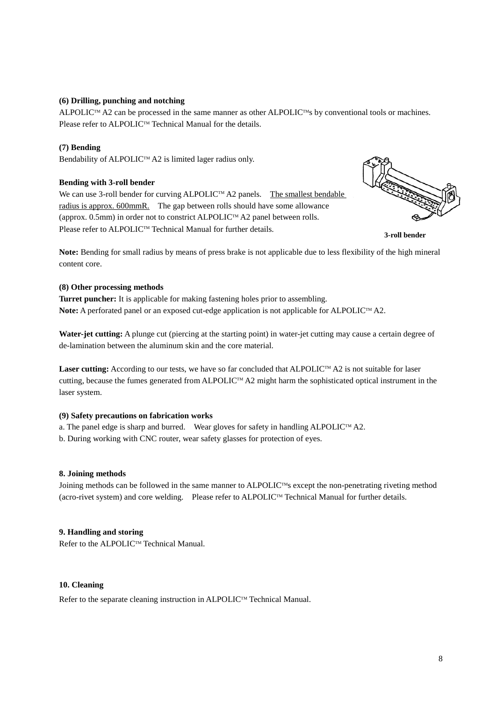#### **(6) Drilling, punching and notching**

ALPOLIC™ A2 can be processed in the same manner as other ALPOLIC™s by conventional tools or machines. Please refer to ALPOLIC™ Technical Manual for the details.

#### **(7) Bending**

Bendability of ALPOLIC™ A2 is limited lager radius only.

#### **Bending with 3-roll bender**

We can use 3-roll bender for curving ALPOLIC<sup>TM</sup> A2 panels. The smallest bendable radius is approx. 600mmR. The gap between rolls should have some allowance (approx. 0.5mm) in order not to constrict ALPOLIC<sup>TM</sup> A2 panel between rolls. Please refer to ALPOLIC™ Technical Manual for further details.



**3-roll bender**

**Note:** Bending for small radius by means of press brake is not applicable due to less flexibility of the high mineral content core.

#### **(8) Other processing methods**

**Turret puncher:** It is applicable for making fastening holes prior to assembling. Note: A perforated panel or an exposed cut-edge application is not applicable for ALPOLIC<sup>TM</sup> A2.

**Water-jet cutting:** A plunge cut (piercing at the starting point) in water-jet cutting may cause a certain degree of de-lamination between the aluminum skin and the core material.

**Laser cutting:** According to our tests, we have so far concluded that ALPOLIC™ A2 is not suitable for laser cutting, because the fumes generated from ALPOLIC<sup>TM</sup> A2 might harm the sophisticated optical instrument in the laser system.

#### **(9) Safety precautions on fabrication works**

a. The panel edge is sharp and burred. Wear gloves for safety in handling ALPOLIC<sup>TM</sup> A2.

b. During working with CNC router, wear safety glasses for protection of eyes.

#### **8. Joining methods**

Joining methods can be followed in the same manner to ALPOLIC<sup>TM</sup>s except the non-penetrating riveting method (acro-rivet system) and core welding. Please refer to ALPOLIC<sup>TM</sup> Technical Manual for further details.

#### **9. Handling and storing**

Refer to the ALPOLIC™ Technical Manual.

#### **10. Cleaning**

Refer to the separate cleaning instruction in ALPOLIC™ Technical Manual.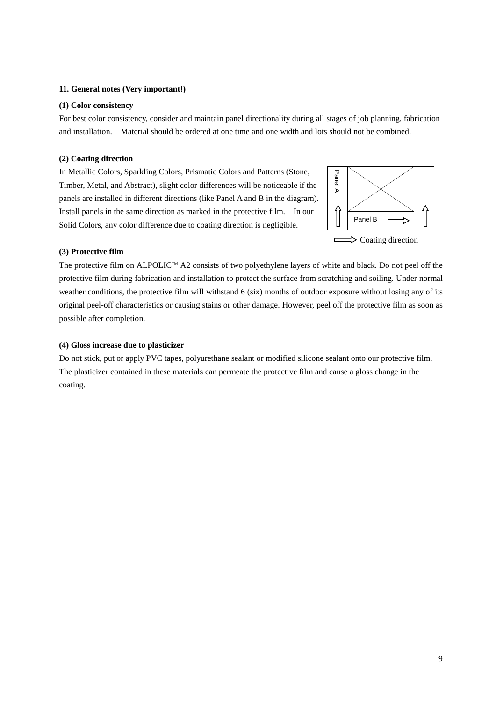#### **11. General notes (Very important!)**

#### **(1) Color consistency**

For best color consistency, consider and maintain panel directionality during all stages of job planning, fabrication and installation. Material should be ordered at one time and one width and lots should not be combined.

#### **(2) Coating direction**

In Metallic Colors, Sparkling Colors, Prismatic Colors and Patterns (Stone, Timber, Metal, and Abstract), slight color differences will be noticeable if the panels are installed in different directions (like Panel A and B in the diagram). Install panels in the same direction as marked in the protective film. In our Solid Colors, any color difference due to coating direction is negligible.



#### **(3) Protective film**

The protective film on ALPOLIC<sup>TM</sup> A2 consists of two polyethylene layers of white and black. Do not peel off the protective film during fabrication and installation to protect the surface from scratching and soiling. Under normal weather conditions, the protective film will withstand 6 (six) months of outdoor exposure without losing any of its original peel-off characteristics or causing stains or other damage. However, peel off the protective film as soon as possible after completion.

#### **(4) Gloss increase due to plasticizer**

Do not stick, put or apply PVC tapes, polyurethane sealant or modified silicone sealant onto our protective film. The plasticizer contained in these materials can permeate the protective film and cause a gloss change in the coating.